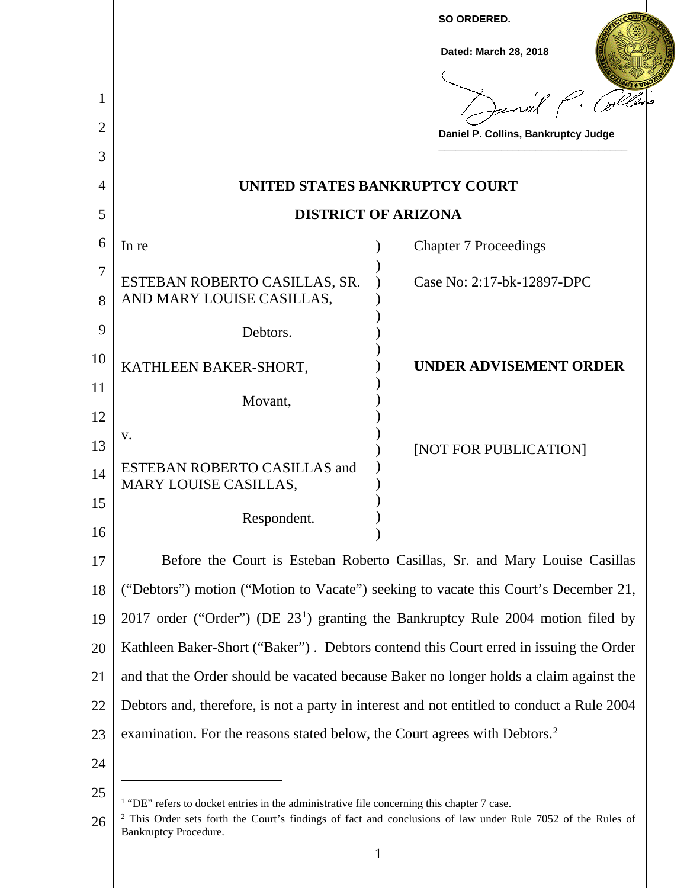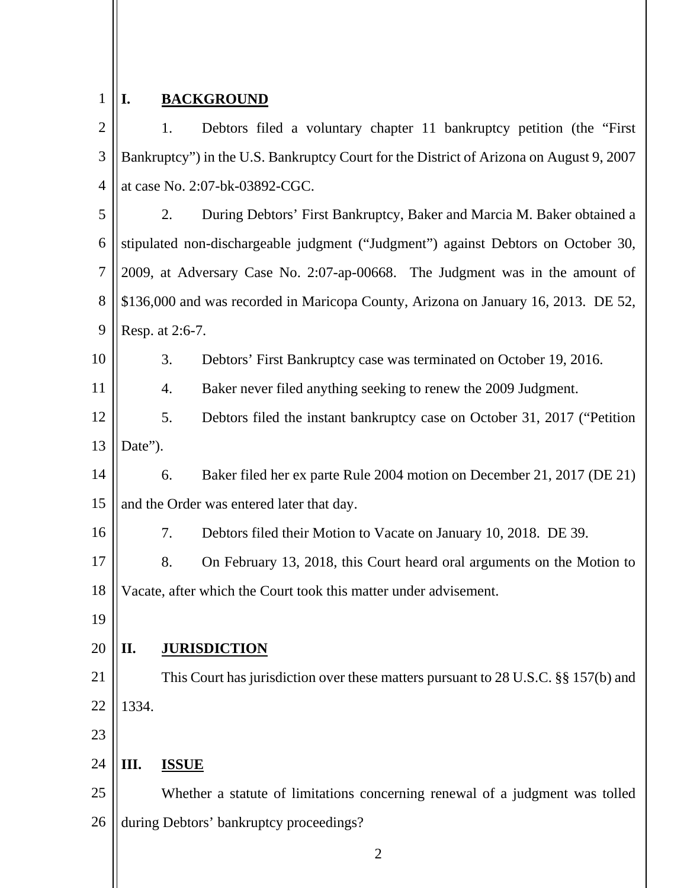#### 1 **I. BACKGROUND**

 $\mathcal{D}_{\mathcal{L}}$ 3 4 1. Debtors filed a voluntary chapter 11 bankruptcy petition (the "First Bankruptcy") in the U.S. Bankruptcy Court for the District of Arizona on August 9, 2007 at case No. 2:07-bk-03892-CGC.

5 6 7 8 9 2. During Debtors' First Bankruptcy, Baker and Marcia M. Baker obtained a stipulated non-dischargeable judgment ("Judgment") against Debtors on October 30, 2009, at Adversary Case No. 2:07-ap-00668. The Judgment was in the amount of \$136,000 and was recorded in Maricopa County, Arizona on January 16, 2013. DE 52, Resp. at 2:6-7.

- 3. Debtors' First Bankruptcy case was terminated on October 19, 2016.
	- 4. Baker never filed anything seeking to renew the 2009 Judgment.
- 12 13 5. Debtors filed the instant bankruptcy case on October 31, 2017 ("Petition Date").
- 14 15 6. Baker filed her ex parte Rule 2004 motion on December 21, 2017 (DE 21) and the Order was entered later that day.
- 16 7. Debtors filed their Motion to Vacate on January 10, 2018. DE 39.
- 17 18 8. On February 13, 2018, this Court heard oral arguments on the Motion to Vacate, after which the Court took this matter under advisement.
- 19

10

11

#### 20 **II. JURISDICTION**

21 22 This Court has jurisdiction over these matters pursuant to 28 U.S.C. §§ 157(b) and 1334.

23

#### 24 **III. ISSUE**

25 26 Whether a statute of limitations concerning renewal of a judgment was tolled during Debtors' bankruptcy proceedings?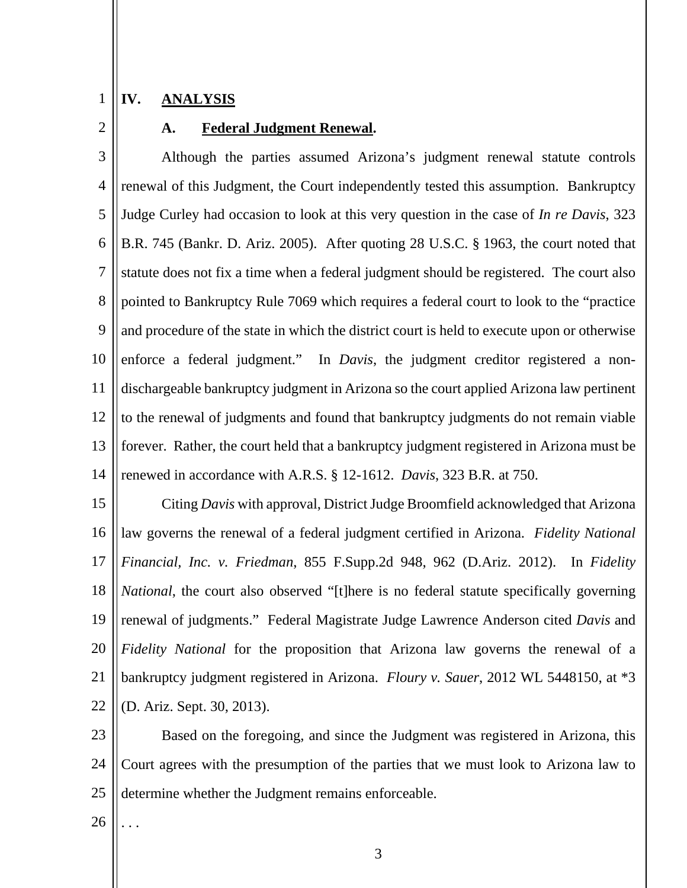#### 1 **IV. ANALYSIS**

2

### **A. Federal Judgment Renewal.**

3 4 5 6 7 8 9 10 11 12 13 14 Although the parties assumed Arizona's judgment renewal statute controls renewal of this Judgment, the Court independently tested this assumption. Bankruptcy Judge Curley had occasion to look at this very question in the case of *In re Davis*, 323 B.R. 745 (Bankr. D. Ariz. 2005). After quoting 28 U.S.C. § 1963, the court noted that statute does not fix a time when a federal judgment should be registered. The court also pointed to Bankruptcy Rule 7069 which requires a federal court to look to the "practice and procedure of the state in which the district court is held to execute upon or otherwise enforce a federal judgment." In *Davis*, the judgment creditor registered a nondischargeable bankruptcy judgment in Arizona so the court applied Arizona law pertinent to the renewal of judgments and found that bankruptcy judgments do not remain viable forever. Rather, the court held that a bankruptcy judgment registered in Arizona must be renewed in accordance with A.R.S. § 12-1612. *Davis*, 323 B.R. at 750.

15 16 17 18 19 20 21 22 Citing *Davis* with approval, District Judge Broomfield acknowledged that Arizona law governs the renewal of a federal judgment certified in Arizona. *Fidelity National Financial, Inc. v. Friedman*, 855 F.Supp.2d 948, 962 (D.Ariz. 2012). In *Fidelity National*, the court also observed "[t]here is no federal statute specifically governing renewal of judgments." Federal Magistrate Judge Lawrence Anderson cited *Davis* and *Fidelity National* for the proposition that Arizona law governs the renewal of a bankruptcy judgment registered in Arizona. *Floury v. Sauer*, 2012 WL 5448150, at \*3 (D. Ariz. Sept. 30, 2013).

23 24 25 Based on the foregoing, and since the Judgment was registered in Arizona, this Court agrees with the presumption of the parties that we must look to Arizona law to determine whether the Judgment remains enforceable.

26 . . .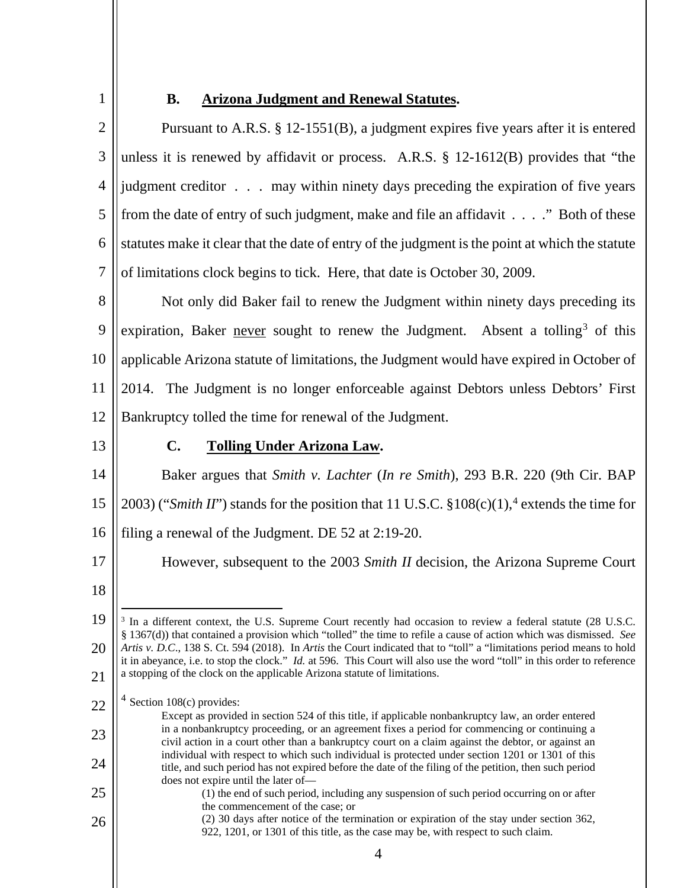1

# **B. Arizona Judgment and Renewal Statutes.**

 $\mathcal{D}_{\mathcal{L}}$ 3 4 5 6 7 Pursuant to A.R.S. § 12-1551(B), a judgment expires five years after it is entered unless it is renewed by affidavit or process. A.R.S. § 12-1612(B) provides that "the judgment creditor . . . may within ninety days preceding the expiration of five years from the date of entry of such judgment, make and file an affidavit . . . ." Both of these statutes make it clear that the date of entry of the judgment is the point at which the statute of limitations clock begins to tick. Here, that date is October 30, 2009.

8 9 10 11 12 Not only did Baker fail to renew the Judgment within ninety days preceding its expiration, Baker never sought to renew the Judgment. Absent a tolling<sup>3</sup> of this applicable Arizona statute of limitations, the Judgment would have expired in October of 2014. The Judgment is no longer enforceable against Debtors unless Debtors' First Bankruptcy tolled the time for renewal of the Judgment.

13

## **C. Tolling Under Arizona Law.**

14 15 16 Baker argues that *Smith v. Lachter* (*In re Smith*), 293 B.R. 220 (9th Cir. BAP 2003) ("*Smith II*") stands for the position that 11 U.S.C. §108(c)(1), <sup>4</sup> extends the time for filing a renewal of the Judgment. DE 52 at 2:19-20.

However, subsequent to the 2003 *Smith II* decision, the Arizona Supreme Court

17 18

23

24

25

<sup>19</sup> 20 21 <sup>3</sup> In a different context, the U.S. Supreme Court recently had occasion to review a federal statute (28 U.S.C. § 1367(d)) that contained a provision which "tolled" the time to refile a cause of action which was dismissed. *See Artis v. D.C*., 138 S. Ct. 594 (2018). In *Artis* the Court indicated that to "toll" a "limitations period means to hold it in abeyance, i.e. to stop the clock." *Id.* at 596. This Court will also use the word "toll" in this order to reference a stopping of the clock on the applicable Arizona statute of limitations.

<sup>22</sup>  $4$  Section 108(c) provides:

Except as provided in section 524 of this title, if applicable nonbankruptcy law, an order entered in a nonbankruptcy proceeding, or an agreement fixes a period for commencing or continuing a civil action in a court other than a bankruptcy court on a claim against the debtor, or against an individual with respect to which such individual is protected under section 1201 or 1301 of this title, and such period has not expired before the date of the filing of the petition, then such period does not expire until the later of— (1) the end of such period, including any suspension of such period occurring on or after

the commencement of the case; or (2) 30 days after notice of the termination or expiration of the stay under section 362, 922, 1201, or 1301 of this title, as the case may be, with respect to such claim.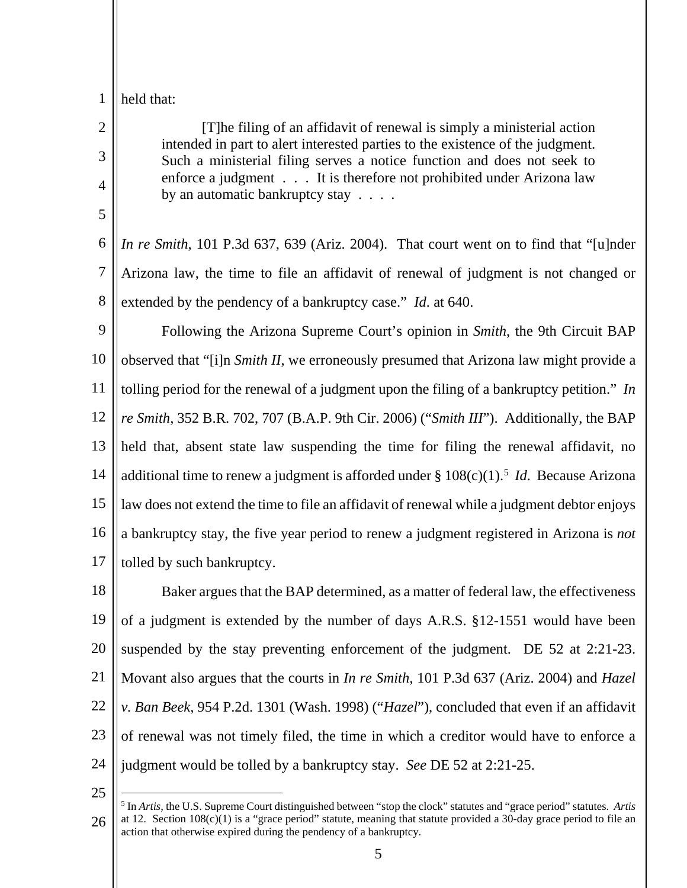1 held that:

2

3

4

5

[T]he filing of an affidavit of renewal is simply a ministerial action intended in part to alert interested parties to the existence of the judgment. Such a ministerial filing serves a notice function and does not seek to enforce a judgment . . . It is therefore not prohibited under Arizona law by an automatic bankruptcy stay . . . .

6 7 8 *In re Smith*, 101 P.3d 637, 639 (Ariz. 2004). That court went on to find that "[u]nder Arizona law, the time to file an affidavit of renewal of judgment is not changed or extended by the pendency of a bankruptcy case." *Id*. at 640.

9 10 11 12 13 14 15 16 17 Following the Arizona Supreme Court's opinion in *Smith*, the 9th Circuit BAP observed that "[i]n *Smith II*, we erroneously presumed that Arizona law might provide a tolling period for the renewal of a judgment upon the filing of a bankruptcy petition." *In re Smith*, 352 B.R. 702, 707 (B.A.P. 9th Cir. 2006) ("*Smith III*"). Additionally, the BAP held that, absent state law suspending the time for filing the renewal affidavit, no additional time to renew a judgment is afforded under § 108(c)(1).<sup>5</sup> *Id*. Because Arizona law does not extend the time to file an affidavit of renewal while a judgment debtor enjoys a bankruptcy stay, the five year period to renew a judgment registered in Arizona is *not* tolled by such bankruptcy.

18 19 20 21 22 23 24 Baker argues that the BAP determined, as a matter of federal law, the effectiveness of a judgment is extended by the number of days A.R.S. §12-1551 would have been suspended by the stay preventing enforcement of the judgment. DE 52 at 2:21-23. Movant also argues that the courts in *In re Smith,* 101 P.3d 637 (Ariz. 2004) and *Hazel v. Ban Beek*, 954 P.2d. 1301 (Wash. 1998) ("*Hazel*"), concluded that even if an affidavit of renewal was not timely filed, the time in which a creditor would have to enforce a judgment would be tolled by a bankruptcy stay. *See* DE 52 at 2:21-25.

<sup>26</sup> 5 In *Artis*, the U.S. Supreme Court distinguished between "stop the clock" statutes and "grace period" statutes. *Artis* at 12. Section  $108(c)(1)$  is a "grace period" statute, meaning that statute provided a 30-day grace period to file an action that otherwise expired during the pendency of a bankruptcy.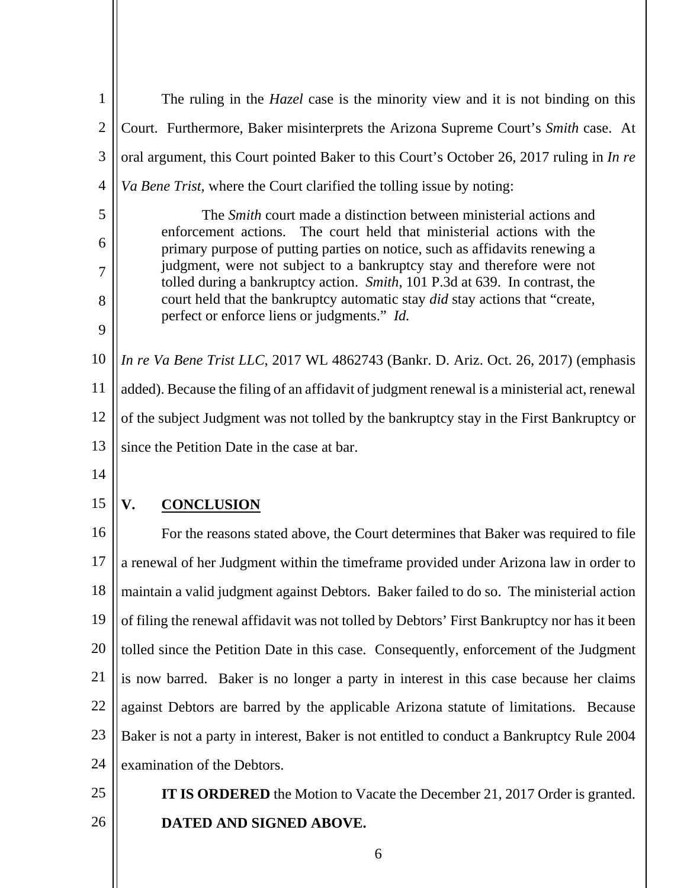| $\mathbf{1}$   | The ruling in the <i>Hazel</i> case is the minority view and it is not binding on this                                                                |
|----------------|-------------------------------------------------------------------------------------------------------------------------------------------------------|
| $\overline{2}$ | Court. Furthermore, Baker misinterprets the Arizona Supreme Court's Smith case. At                                                                    |
| 3              | oral argument, this Court pointed Baker to this Court's October 26, 2017 ruling in In re                                                              |
| 4              | Va Bene Trist, where the Court clarified the tolling issue by noting:                                                                                 |
| 5              | The <i>Smith</i> court made a distinction between ministerial actions and                                                                             |
| 6              | enforcement actions. The court held that ministerial actions with the<br>primary purpose of putting parties on notice, such as affidavits renewing a  |
| 7              | judgment, were not subject to a bankruptcy stay and therefore were not<br>tolled during a bankruptcy action. Smith, 101 P.3d at 639. In contrast, the |
| 8              | court held that the bankruptcy automatic stay did stay actions that "create,                                                                          |
| 9              | perfect or enforce liens or judgments." Id.                                                                                                           |
| 10             | In re Va Bene Trist LLC, 2017 WL 4862743 (Bankr. D. Ariz. Oct. 26, 2017) (emphasis                                                                    |
| 11             | added). Because the filing of an affidavit of judgment renewal is a ministerial act, renewal                                                          |
| 12             | of the subject Judgment was not tolled by the bankruptcy stay in the First Bankruptcy or                                                              |
| 13             | since the Petition Date in the case at bar.                                                                                                           |
| 14             |                                                                                                                                                       |
| 15             | V.<br><b>CONCLUSION</b>                                                                                                                               |
| 16             | For the reasons stated above, the Court determines that Baker was required to file                                                                    |
| 17             | a renewal of her Judgment within the timeframe provided under Arizona law in order to                                                                 |
| 18             | maintain a valid judgment against Debtors. Baker failed to do so. The ministerial action                                                              |
| 19             | of filing the renewal affidavit was not tolled by Debtors' First Bankruptcy nor has it been                                                           |
| 20             | tolled since the Petition Date in this case. Consequently, enforcement of the Judgment                                                                |
| 21             | is now barred. Baker is no longer a party in interest in this case because her claims                                                                 |
| 22             | against Debtors are barred by the applicable Arizona statute of limitations. Because                                                                  |
| 23             | Baker is not a party in interest, Baker is not entitled to conduct a Bankruptcy Rule 2004                                                             |
| 24             | examination of the Debtors.                                                                                                                           |
| 25             | <b>IT IS ORDERED</b> the Motion to Vacate the December 21, 2017 Order is granted.                                                                     |
| 26             | DATED AND SIGNED ABOVE.                                                                                                                               |
|                | 6                                                                                                                                                     |